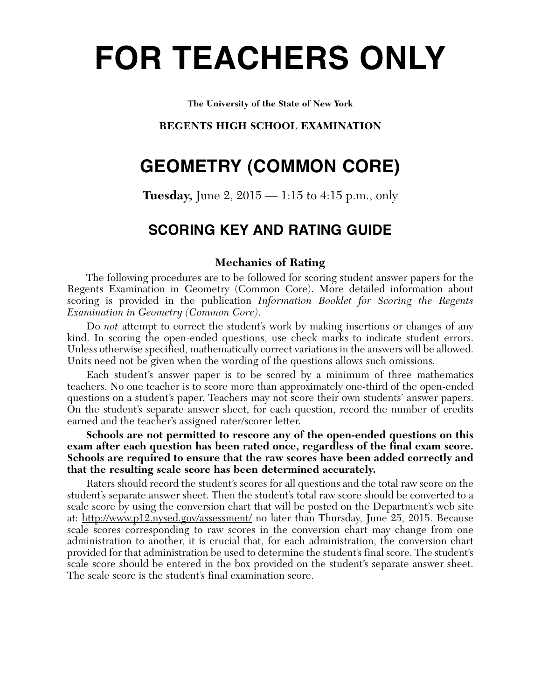# **FOR TEACHERS ONLY**

**The University of the State of New York**

# **REGENTS HIGH SCHOOL EXAMINATION**

# **GEOMETRY (COMMON CORE)**

**Tuesday,** June 2, 2015 — 1:15 to 4:15 p.m., only

# **SCORING KEY AND RATING GUIDE**

# **Mechanics of Rating**

The following procedures are to be followed for scoring student answer papers for the Regents Examination in Geometry (Common Core). More detailed information about scoring is provided in the publication *Information Booklet for Scoring the Regents Examination in Geometry (Common Core)*.

Do *not* attempt to correct the student's work by making insertions or changes of any kind. In scoring the open-ended questions, use check marks to indicate student errors. Unless otherwise specified, mathematically correct variations in the answers will be allowed. Units need not be given when the wording of the questions allows such omissions.

Each student's answer paper is to be scored by a minimum of three mathematics teachers. No one teacher is to score more than approximately one-third of the open-ended questions on a student's paper. Teachers may not score their own students' answer papers. On the student's separate answer sheet, for each question, record the number of credits earned and the teacher's assigned rater/scorer letter.

**Schools are not permitted to rescore any of the open-ended questions on this exam after each question has been rated once, regardless of the final exam score. Schools are required to ensure that the raw scores have been added correctly and that the resulting scale score has been determined accurately.**

Raters should record the student's scores for all questions and the total raw score on the student's separate answer sheet. Then the student's total raw score should be converted to a scale score by using the conversion chart that will be posted on the Department's web site at: http://www.p12.nysed.gov/assessment/ no later than Thursday, June 25, 2015. Because scale scores corresponding to raw scores in the conversion chart may change from one administration to another, it is crucial that, for each administration, the conversion chart provided for that administration be used to determine the student's final score. The student's scale score should be entered in the box provided on the student's separate answer sheet. The scale score is the student's final examination score.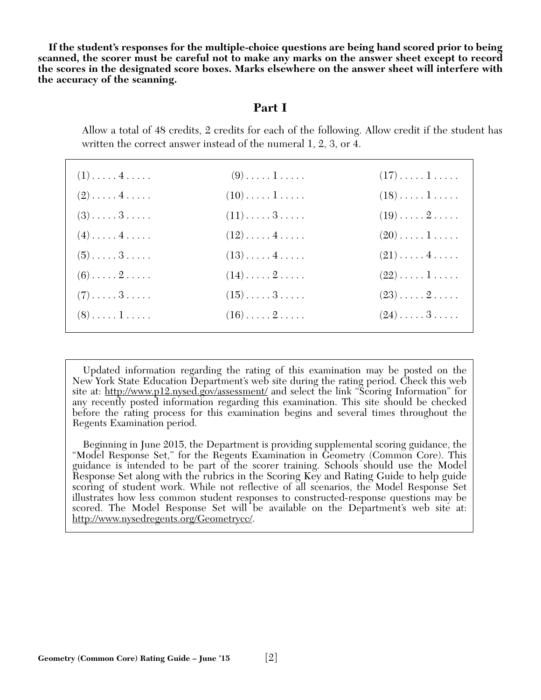**If the student's responses for the multiple-choice questions are being hand scored prior to being scanned, the scorer must be careful not to make any marks on the answer sheet except to record the scores in the designated score boxes. Marks elsewhere on the answer sheet will interfere with the accuracy of the scanning.**

# **Part I**

Allow a total of 48 credits, 2 credits for each of the following. Allow credit if the student has written the correct answer instead of the numeral 1, 2, 3, or 4.

| $(1)$ 4                      | $(9) \ldots \ldots 1 \ldots$      | $(17)\ldots\ldots\,1\ldots\ldots$ |
|------------------------------|-----------------------------------|-----------------------------------|
| $(2) \ldots \ldots 4 \ldots$ | $(10)\ldots\ldots\,1\ldots\ldots$ | $(18)\ldots\ldots\ldots$          |
| $(3) \ldots \ldots 3 \ldots$ | $(11)\ldots 3 \ldots$             | $(19)\ldots 2 \ldots$             |
| $(4) \ldots \ldots 4 \ldots$ | $(12)\ldots \ldots 4 \ldots$      | $(20)\ldots\ldots\,1\ldots\ldots$ |
| $(5) \ldots \ldots 3 \ldots$ | $(13)\ldots \ldots 4 \ldots$      | $(21)\ldots$ . 4                  |
| $(6) \ldots \ldots 2 \ldots$ | $(14)\ldots 2 \ldots$             | $(22)\ldots\ldots\,1\ldots\ldots$ |
| $(7) \ldots \ldots 3 \ldots$ | $(15)\dots\dots\,3\dots\dots$     | $(23) \ldots \ldots 2 \ldots$     |
| $(8) \ldots \ldots 1 \ldots$ | $(16)\ldots \ldots 2 \ldots$      | $(24)\ldots\ldots3\ldots\ldots$   |

Updated information regarding the rating of this examination may be posted on the New York State Education Department's web site during the rating period. Check this web site at: http://www.p12.nysed.gov/assessment/ and select the link "Scoring Information" for any recently posted information regarding this examination. This site should be checked before the rating process for this examination begins and several times throughout the Regents Examination period.

Beginning in June 2015, the Department is providing supplemental scoring guidance, the "Model Response Set," for the Regents Examination in Geometry (Common Core). This guidance is intended to be part of the scorer training. Schools should use the Model Response Set along with the rubrics in the Scoring Key and Rating Guide to help guide scoring of student work. While not reflective of all scenarios, the Model Response Set illustrates how less common student responses to constructed-response questions may be scored. The Model Response Set will be available on the Department's web site at: http://www.nysedregents.org/Geometrycc/.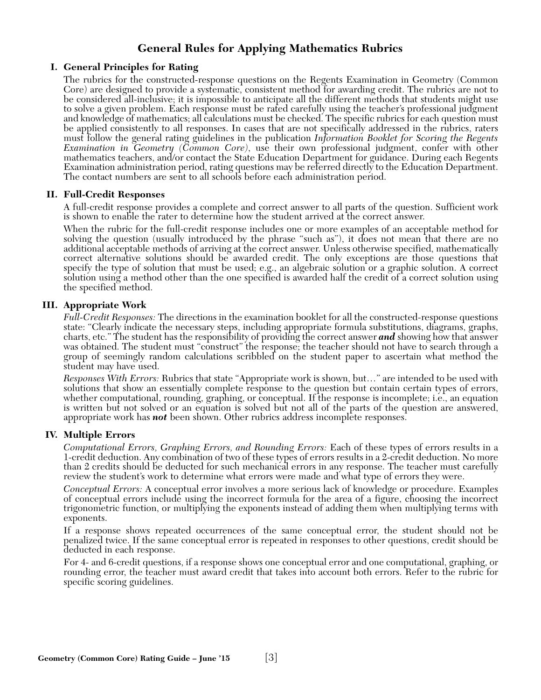# **General Rules for Applying Mathematics Rubrics**

## **I. General Principles for Rating**

The rubrics for the constructed-response questions on the Regents Examination in Geometry (Common Core) are designed to provide a systematic, consistent method for awarding credit. The rubrics are not to be considered all-inclusive; it is impossible to anticipate all the different methods that students might use to solve a given problem. Each response must be rated carefully using the teacher's professional judgment and knowledge of mathematics; all calculations must be checked. The specific rubrics for each question must be applied consistently to all responses. In cases that are not specifically addressed in the rubrics, raters must follow the general rating guidelines in the publication *Information Booklet for Scoring the Regents Examination in Geometry (Common Core)*, use their own professional judgment, confer with other mathematics teachers, and/or contact the State Education Department for guidance. During each Regents Examination administration period, rating questions may be referred directly to the Education Department. The contact numbers are sent to all schools before each administration period.

## **II. Full-Credit Responses**

A full-credit response provides a complete and correct answer to all parts of the question. Sufficient work is shown to enable the rater to determine how the student arrived at the correct answer.

When the rubric for the full-credit response includes one or more examples of an acceptable method for solving the question (usually introduced by the phrase "such as"), it does not mean that there are no additional acceptable methods of arriving at the correct answer. Unless otherwise specified, mathematically correct alternative solutions should be awarded credit. The only exceptions are those questions that specify the type of solution that must be used; e.g., an algebraic solution or a graphic solution. A correct solution using a method other than the one specified is awarded half the credit of a correct solution using the specified method.

# **III. Appropriate Work**

*Full-Credit Responses:* The directions in the examination booklet for all the constructed-response questions state: "Clearly indicate the necessary steps, including appropriate formula substitutions, diagrams, graphs, charts, etc." The student has the responsibility of providing the correct answer *and* showing how that answer was obtained. The student must "construct" the response; the teacher should not have to search through a group of seemingly random calculations scribbled on the student paper to ascertain what method the student may have used.

*Responses With Errors:* Rubrics that state "Appropriate work is shown, but…" are intended to be used with solutions that show an essentially complete response to the question but contain certain types of errors, whether computational, rounding, graphing, or conceptual. If the response is incomplete; i.e., an equation is written but not solved or an equation is solved but not all of the parts of the question are answered, appropriate work has *not* been shown. Other rubrics address incomplete responses.

## **IV. Multiple Errors**

*Computational Errors, Graphing Errors, and Rounding Errors:* Each of these types of errors results in a 1-credit deduction. Any combination of two of these types of errors results in a 2-credit deduction. No more than 2 credits should be deducted for such mechanical errors in any response. The teacher must carefully review the student's work to determine what errors were made and what type of errors they were.

*Conceptual Errors:* A conceptual error involves a more serious lack of knowledge or procedure. Examples of conceptual errors include using the incorrect formula for the area of a figure, choosing the incorrect trigonometric function, or multiplying the exponents instead of adding them when multiplying terms with exponents.

If a response shows repeated occurrences of the same conceptual error, the student should not be penalized twice. If the same conceptual error is repeated in responses to other questions, credit should be deducted in each response.

For 4- and 6-credit questions, if a response shows one conceptual error and one computational, graphing, or rounding error, the teacher must award credit that takes into account both errors. Refer to the rubric for specific scoring guidelines.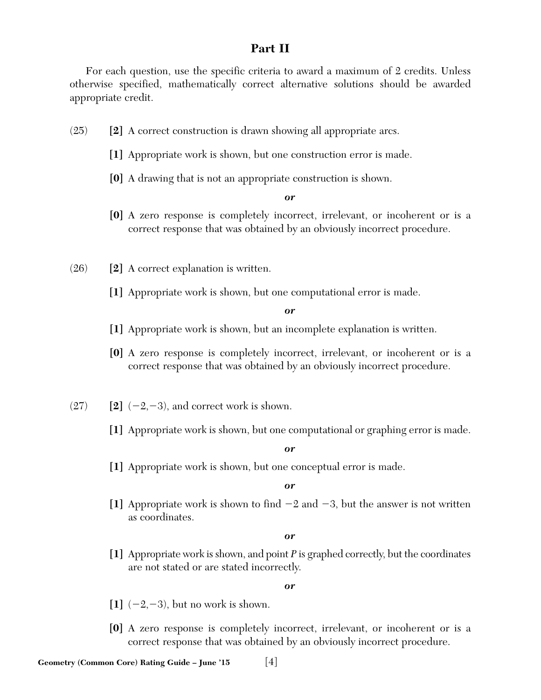# **Part II**

For each question, use the specific criteria to award a maximum of 2 credits. Unless otherwise specified, mathematically correct alternative solutions should be awarded appropriate credit.

- (25) **[2]** A correct construction is drawn showing all appropriate arcs.
	- **[1]** Appropriate work is shown, but one construction error is made.
	- **[0]** A drawing that is not an appropriate construction is shown.

*or*

- **[0]** A zero response is completely incorrect, irrelevant, or incoherent or is a correct response that was obtained by an obviously incorrect procedure.
- (26) **[2]** A correct explanation is written.
	- **[1]** Appropriate work is shown, but one computational error is made.

*or*

- **[1]** Appropriate work is shown, but an incomplete explanation is written.
- **[0]** A zero response is completely incorrect, irrelevant, or incoherent or is a correct response that was obtained by an obviously incorrect procedure.
- $(27)$  **[2]**  $(-2,-3)$ , and correct work is shown.
	- **[1]** Appropriate work is shown, but one computational or graphing error is made.

*or*

**[1]** Appropriate work is shown, but one conceptual error is made.

*or*

[1] Appropriate work is shown to find  $-2$  and  $-3$ , but the answer is not written as coordinates.

*or*

**[1]** Appropriate work is shown, and point *P* is graphed correctly, but the coordinates are not stated or are stated incorrectly.

- $\begin{bmatrix} 1 \end{bmatrix}$  (-2,-3), but no work is shown.
- **[0]** A zero response is completely incorrect, irrelevant, or incoherent or is a correct response that was obtained by an obviously incorrect procedure.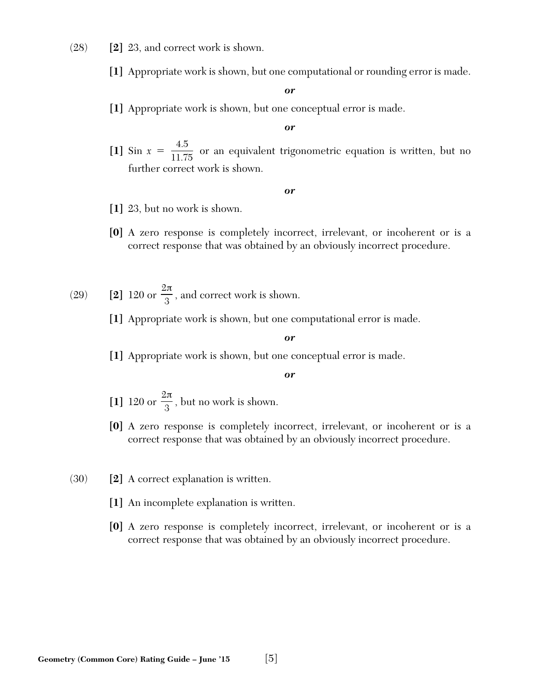- (28) **[2]** 23, and correct work is shown.
	- **[1]** Appropriate work is shown, but one computational or rounding error is made.

**[1]** Appropriate work is shown, but one conceptual error is made.

#### *or*

[1] Sin  $x = \frac{4.5}{11.75}$  or an equivalent trigonometric equation is written, but no further correct work is shown. 11.75

#### *or*

- **[1]** 23, but no work is shown.
- **[0]** A zero response is completely incorrect, irrelevant, or incoherent or is a correct response that was obtained by an obviously incorrect procedure.
- $(29)$  **[2]** 120 or  $\frac{1}{2}$ , and correct work is shown. 2 3 π
	- **[1]** Appropriate work is shown, but one computational error is made.

#### *or*

**[1]** Appropriate work is shown, but one conceptual error is made.

- [1] 120 or  $\frac{1}{2}$ , but no work is shown. 2 3 π
- **[0]** A zero response is completely incorrect, irrelevant, or incoherent or is a correct response that was obtained by an obviously incorrect procedure.
- (30) **[2]** A correct explanation is written.
	- **[1]** An incomplete explanation is written.
	- **[0]** A zero response is completely incorrect, irrelevant, or incoherent or is a correct response that was obtained by an obviously incorrect procedure.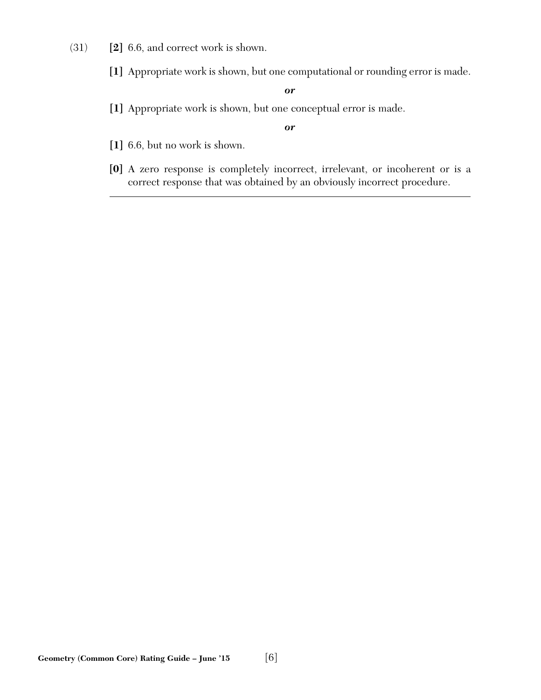- (31) **[2]** 6.6, and correct work is shown.
	- **[1]** Appropriate work is shown, but one computational or rounding error is made.

**[1]** Appropriate work is shown, but one conceptual error is made.

- **[1]** 6.6, but no work is shown.
- **[0]** A zero response is completely incorrect, irrelevant, or incoherent or is a correct response that was obtained by an obviously incorrect procedure.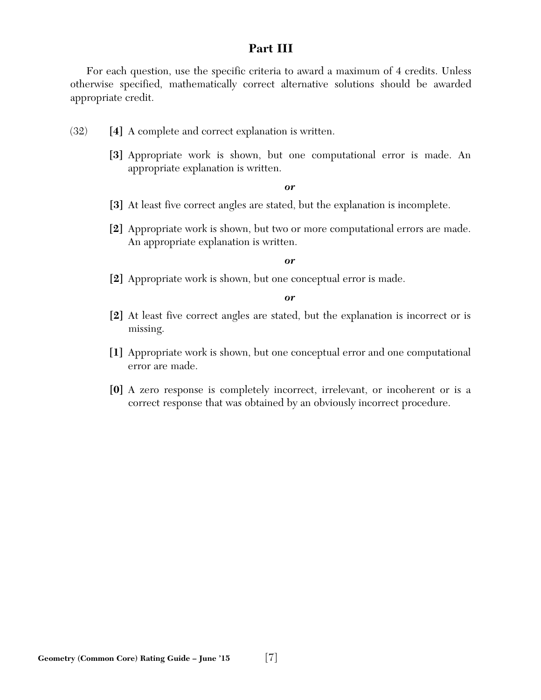# **Part III**

For each question, use the specific criteria to award a maximum of 4 credits. Unless otherwise specified, mathematically correct alternative solutions should be awarded appropriate credit.

- (32) **[4]** A complete and correct explanation is written.
	- **[3]** Appropriate work is shown, but one computational error is made. An appropriate explanation is written.

*or*

- **[3]** At least five correct angles are stated, but the explanation is incomplete.
- **[2]** Appropriate work is shown, but two or more computational errors are made. An appropriate explanation is written.

#### *or*

**[2]** Appropriate work is shown, but one conceptual error is made.

- **[2]** At least five correct angles are stated, but the explanation is incorrect or is missing.
- **[1]** Appropriate work is shown, but one conceptual error and one computational error are made.
- **[0]** A zero response is completely incorrect, irrelevant, or incoherent or is a correct response that was obtained by an obviously incorrect procedure.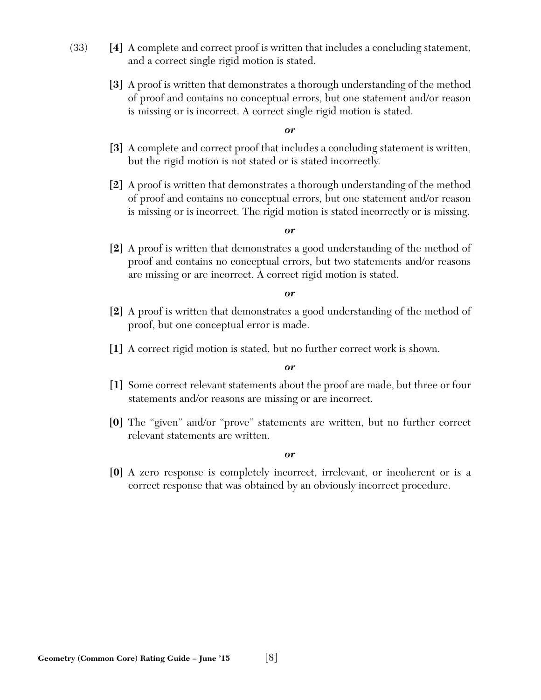- (33) **[4]** A complete and correct proof is written that includes a concluding statement, and a correct single rigid motion is stated.
	- **[3]** A proof is written that demonstrates a thorough understanding of the method of proof and contains no conceptual errors, but one statement and/or reason is missing or is incorrect. A correct single rigid motion is stated.

- **[3]** A complete and correct proof that includes a concluding statement is written, but the rigid motion is not stated or is stated incorrectly.
- **[2]** A proof is written that demonstrates a thorough understanding of the method of proof and contains no conceptual errors, but one statement and/or reason is missing or is incorrect. The rigid motion is stated incorrectly or is missing.

#### *or*

**[2]** A proof is written that demonstrates a good understanding of the method of proof and contains no conceptual errors, but two statements and/or reasons are missing or are incorrect. A correct rigid motion is stated.

*or*

- **[2]** A proof is written that demonstrates a good understanding of the method of proof, but one conceptual error is made.
- **[1]** A correct rigid motion is stated, but no further correct work is shown.

#### *or*

- **[1]** Some correct relevant statements about the proof are made, but three or four statements and/or reasons are missing or are incorrect.
- **[0]** The "given" and/or "prove" statements are written, but no further correct relevant statements are written.

*or*

**[0]** A zero response is completely incorrect, irrelevant, or incoherent or is a correct response that was obtained by an obviously incorrect procedure.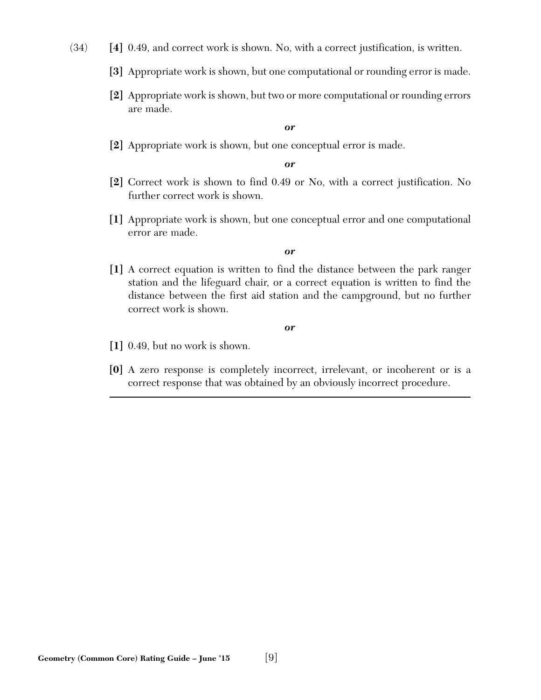- (34) **[4]** 0.49, and correct work is shown. No, with a correct justification, is written.
	- **[3]** Appropriate work is shown, but one computational or rounding error is made.
	- **[2]** Appropriate work is shown, but two or more computational or rounding errors are made.

**[2]** Appropriate work is shown, but one conceptual error is made.

#### *or*

- **[2]** Correct work is shown to find 0.49 or No, with a correct justification. No further correct work is shown.
- **[1]** Appropriate work is shown, but one conceptual error and one computational error are made.

#### *or*

**[1]** A correct equation is written to find the distance between the park ranger station and the lifeguard chair, or a correct equation is written to find the distance between the first aid station and the campground, but no further correct work is shown.

- **[1]** 0.49, but no work is shown.
- **[0]** A zero response is completely incorrect, irrelevant, or incoherent or is a correct response that was obtained by an obviously incorrect procedure.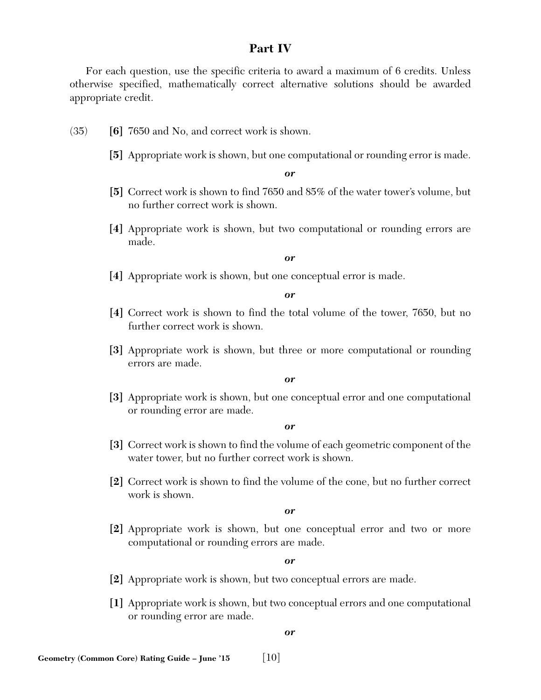# **Part IV**

For each question, use the specific criteria to award a maximum of 6 credits. Unless otherwise specified, mathematically correct alternative solutions should be awarded appropriate credit.

- (35) **[6]** 7650 and No, and correct work is shown.
	- **[5]** Appropriate work is shown, but one computational or rounding error is made.

*or*

- **[5]** Correct work is shown to find 7650 and 85% of the water tower's volume, but no further correct work is shown.
- **[4]** Appropriate work is shown, but two computational or rounding errors are made.

#### *or*

**[4]** Appropriate work is shown, but one conceptual error is made.

*or*

- **[4]** Correct work is shown to find the total volume of the tower, 7650, but no further correct work is shown.
- **[3]** Appropriate work is shown, but three or more computational or rounding errors are made.

*or*

**[3]** Appropriate work is shown, but one conceptual error and one computational or rounding error are made.

*or*

- **[3]** Correct work is shown to find the volume of each geometric component of the water tower, but no further correct work is shown.
- **[2]** Correct work is shown to find the volume of the cone, but no further correct work is shown.

*or*

**[2]** Appropriate work is shown, but one conceptual error and two or more computational or rounding errors are made.

*or*

- **[2]** Appropriate work is shown, but two conceptual errors are made.
- **[1]** Appropriate work is shown, but two conceptual errors and one computational or rounding error are made.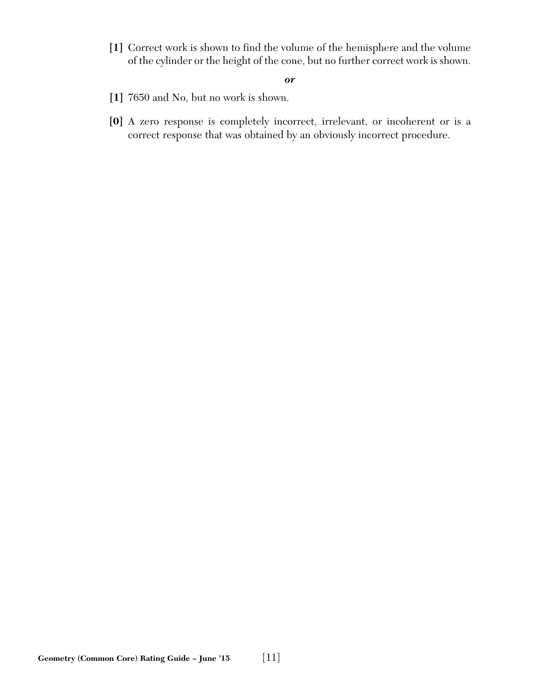**[1]** Correct work is shown to find the volume of the hemisphere and the volume of the cylinder or the height of the cone, but no further correct work is shown.

- **[1]** 7650 and No, but no work is shown.
- **[0]** A zero response is completely incorrect, irrelevant, or incoherent or is a correct response that was obtained by an obviously incorrect procedure.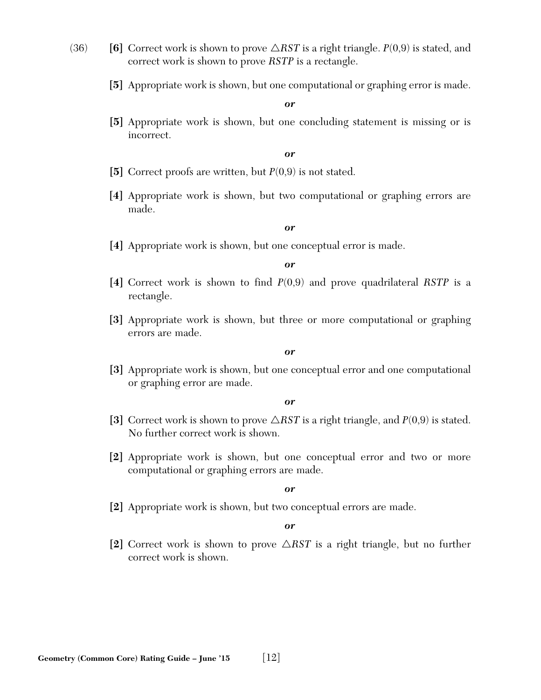- (36) **[6]** Correct work is shown to prove  $\triangle RST$  is a right triangle.  $P(0,9)$  is stated, and correct work is shown to prove *RSTP* is a rectangle.
	- **[5]** Appropriate work is shown, but one computational or graphing error is made.

**[5]** Appropriate work is shown, but one concluding statement is missing or is incorrect.

*or*

- **[5]** Correct proofs are written, but *P*(0,9) is not stated.
- **[4]** Appropriate work is shown, but two computational or graphing errors are made.

#### *or*

**[4]** Appropriate work is shown, but one conceptual error is made.

*or*

- **[4]** Correct work is shown to find *P*(0,9) and prove quadrilateral *RSTP* is a rectangle.
- **[3]** Appropriate work is shown, but three or more computational or graphing errors are made.

*or*

**[3]** Appropriate work is shown, but one conceptual error and one computational or graphing error are made.

*or*

- [3] Correct work is shown to prove  $\triangle RST$  is a right triangle, and  $P(0,9)$  is stated. No further correct work is shown.
- **[2]** Appropriate work is shown, but one conceptual error and two or more computational or graphing errors are made.

#### *or*

**[2]** Appropriate work is shown, but two conceptual errors are made.

*or*

[2] Correct work is shown to prove  $\triangle RST$  is a right triangle, but no further correct work is shown.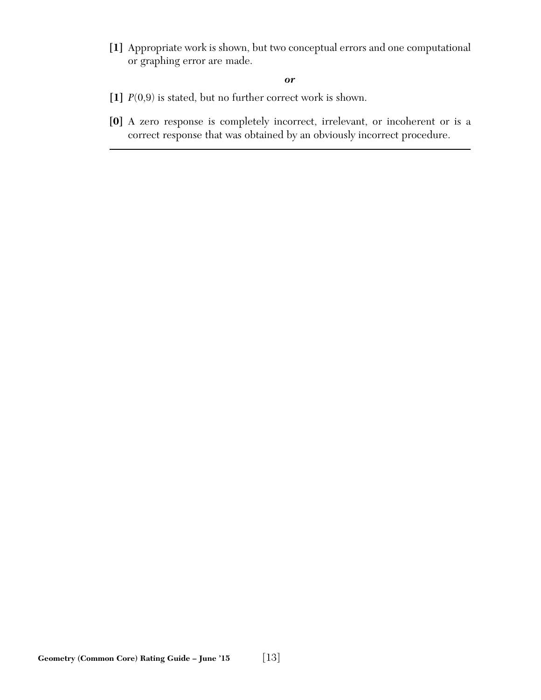**[1]** Appropriate work is shown, but two conceptual errors and one computational or graphing error are made.

- **[1]** *P*(0,9) is stated, but no further correct work is shown.
- **[0]** A zero response is completely incorrect, irrelevant, or incoherent or is a correct response that was obtained by an obviously incorrect procedure.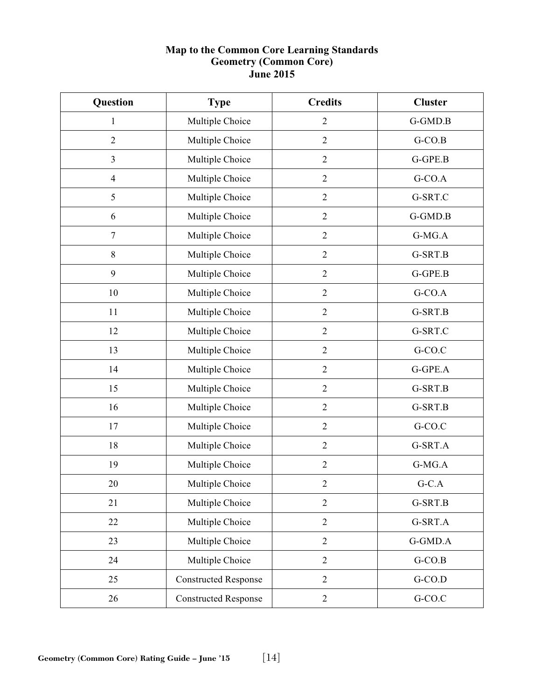# **Map to the Common Core Learning Standards Geometry (Common Core) June 2015**

| <b>Question</b> | <b>Type</b>                 | <b>Credits</b> | <b>Cluster</b> |
|-----------------|-----------------------------|----------------|----------------|
| 1               | Multiple Choice             | $\overline{2}$ | G-GMD.B        |
| $\overline{2}$  | Multiple Choice             | $\overline{2}$ | $G-CO.B$       |
| $\overline{3}$  | Multiple Choice             | $\overline{2}$ | G-GPE.B        |
| $\overline{4}$  | Multiple Choice             | $\overline{2}$ | $G$ -CO.A      |
| $\mathfrak{S}$  | Multiple Choice             | $\sqrt{2}$     | G-SRT.C        |
| 6               | Multiple Choice             | $\overline{2}$ | G-GMD.B        |
| $\tau$          | Multiple Choice             | $\overline{2}$ | G-MG.A         |
| $8\,$           | Multiple Choice             | $\mathfrak{2}$ | G-SRT.B        |
| 9               | Multiple Choice             | $\overline{2}$ | G-GPE.B        |
| 10              | Multiple Choice             | $\mathbf{2}$   | $G-CO.A$       |
| 11              | Multiple Choice             | $\sqrt{2}$     | G-SRT.B        |
| 12              | Multiple Choice             | $\overline{2}$ | G-SRT.C        |
| 13              | Multiple Choice             | $\overline{2}$ | $G-CO.C$       |
| 14              | Multiple Choice             | $\overline{2}$ | G-GPE.A        |
| 15              | Multiple Choice             | $\mathbf{2}$   | G-SRT.B        |
| 16              | Multiple Choice             | $\overline{2}$ | G-SRT.B        |
| 17              | Multiple Choice             | $\overline{2}$ | G-CO.C         |
| 18              | Multiple Choice             | $\overline{2}$ | G-SRT.A        |
| 19              | Multiple Choice             | $\overline{2}$ | G-MG.A         |
| 20              | Multiple Choice             | $\sqrt{2}$     | $G-C.A$        |
| 21              | Multiple Choice             | $\overline{2}$ | G-SRT.B        |
| 22              | Multiple Choice             | $\overline{2}$ | G-SRT.A        |
| 23              | Multiple Choice             | $\sqrt{2}$     | G-GMD.A        |
| 24              | Multiple Choice             | $\mathbf{2}$   | $G-CO.B$       |
| 25              | <b>Constructed Response</b> | $\overline{2}$ | $G-CO.D$       |
| 26              | <b>Constructed Response</b> | $\overline{2}$ | $G-CO.C$       |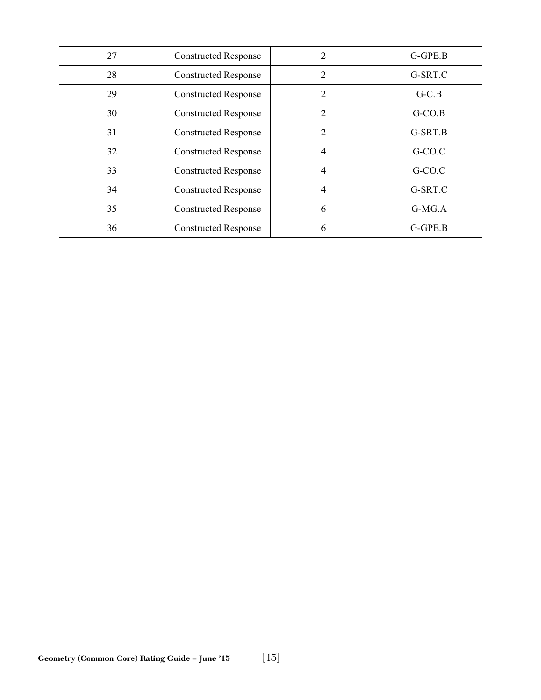| 27 | <b>Constructed Response</b> |                | G-GPE.B  |
|----|-----------------------------|----------------|----------|
| 28 | <b>Constructed Response</b> | $\overline{2}$ | G-SRT.C  |
| 29 | <b>Constructed Response</b> | $\overline{2}$ | $G-C.B$  |
| 30 | <b>Constructed Response</b> | 2              | $G-CO.B$ |
| 31 | <b>Constructed Response</b> | $\overline{2}$ | G-SRT.B  |
| 32 | <b>Constructed Response</b> | $\overline{4}$ | G-CO.C   |
| 33 | <b>Constructed Response</b> | 4              | G-CO.C   |
| 34 | <b>Constructed Response</b> | 4              | G-SRT.C  |
| 35 | <b>Constructed Response</b> | 6              | $G-MG.A$ |
| 36 | <b>Constructed Response</b> | 6              | G-GPE.B  |